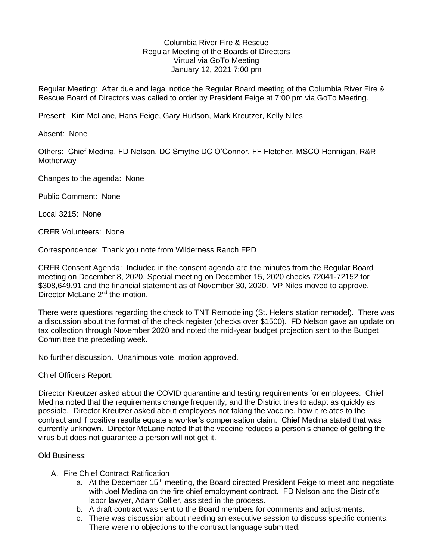## Columbia River Fire & Rescue Regular Meeting of the Boards of Directors Virtual via GoTo Meeting January 12, 2021 7:00 pm

Regular Meeting: After due and legal notice the Regular Board meeting of the Columbia River Fire & Rescue Board of Directors was called to order by President Feige at 7:00 pm via GoTo Meeting.

Present: Kim McLane, Hans Feige, Gary Hudson, Mark Kreutzer, Kelly Niles

Absent: None

Others: Chief Medina, FD Nelson, DC Smythe DC O'Connor, FF Fletcher, MSCO Hennigan, R&R **Motherway** 

Changes to the agenda: None

Public Comment: None

Local 3215: None

CRFR Volunteers: None

Correspondence: Thank you note from Wilderness Ranch FPD

CRFR Consent Agenda: Included in the consent agenda are the minutes from the Regular Board meeting on December 8, 2020, Special meeting on December 15, 2020 checks 72041-72152 for \$308,649.91 and the financial statement as of November 30, 2020. VP Niles moved to approve. Director McLane 2<sup>nd</sup> the motion.

There were questions regarding the check to TNT Remodeling (St. Helens station remodel). There was a discussion about the format of the check register (checks over \$1500). FD Nelson gave an update on tax collection through November 2020 and noted the mid-year budget projection sent to the Budget Committee the preceding week.

No further discussion. Unanimous vote, motion approved.

Chief Officers Report:

Director Kreutzer asked about the COVID quarantine and testing requirements for employees. Chief Medina noted that the requirements change frequently, and the District tries to adapt as quickly as possible. Director Kreutzer asked about employees not taking the vaccine, how it relates to the contract and if positive results equate a worker's compensation claim. Chief Medina stated that was currently unknown. Director McLane noted that the vaccine reduces a person's chance of getting the virus but does not guarantee a person will not get it.

Old Business:

- A. Fire Chief Contract Ratification
	- a. At the December 15<sup>th</sup> meeting, the Board directed President Feige to meet and negotiate with Joel Medina on the fire chief employment contract. FD Nelson and the District's labor lawyer, Adam Collier, assisted in the process.
	- b. A draft contract was sent to the Board members for comments and adjustments.
	- c. There was discussion about needing an executive session to discuss specific contents. There were no objections to the contract language submitted.